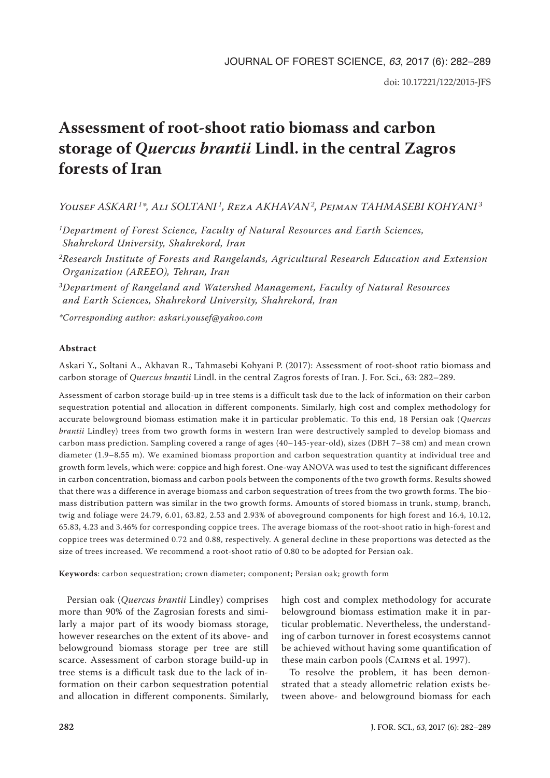# **Assessment of root-shoot ratio biomass and carbon storage of** *Quercus brantii* **Lindl. in the central Zagros forests of Iran**

*Yousef ASKARI 1\*, Ali SOLTANI 1, Reza AKHAVAN2, Pejman TAHMASEBI KOHYANI <sup>3</sup>*

*1Department of Forest Science, Faculty of Natural Resources and Earth Sciences, Shahrekord University, Shahrekord, Iran*

*2Research Institute of Forests and Rangelands, Agricultural Research Education and Extension Organization (AREEO), Tehran, Iran*

*3Department of Rangeland and Watershed Management, Faculty of Natural Resources and Earth Sciences, Shahrekord University, Shahrekord, Iran*

*\*Corresponding author: askari.yousef@yahoo.com*

# **Abstract**

Askari Y., Soltani A., Akhavan R., Tahmasebi Kohyani P. (2017): Assessment of root-shoot ratio biomass and carbon storage of *Quercus brantii* Lindl. in the central Zagros forests of Iran. J. For. Sci., 63: 282–289.

Assessment of carbon storage build-up in tree stems is a difficult task due to the lack of information on their carbon sequestration potential and allocation in different components. Similarly, high cost and complex methodology for accurate belowground biomass estimation make it in particular problematic. To this end, 18 Persian oak (*Quercus brantii* Lindley) trees from two growth forms in western Iran were destructively sampled to develop biomass and carbon mass prediction. Sampling covered a range of ages (40–145-year-old), sizes (DBH 7–38 cm) and mean crown diameter (1.9–8.55 m). We examined biomass proportion and carbon sequestration quantity at individual tree and growth form levels, which were: coppice and high forest. One-way ANOVA was used to test the significant differences in carbon concentration, biomass and carbon pools between the components of the two growth forms. Results showed that there was a difference in average biomass and carbon sequestration of trees from the two growth forms. The biomass distribution pattern was similar in the two growth forms. Amounts of stored biomass in trunk, stump, branch, twig and foliage were 24.79, 6.01, 63.82, 2.53 and 2.93% of aboveground components for high forest and 16.4, 10.12, 65.83, 4.23 and 3.46% for corresponding coppice trees. The average biomass of the root-shoot ratio in high-forest and coppice trees was determined 0.72 and 0.88, respectively. A general decline in these proportions was detected as the size of trees increased. We recommend a root-shoot ratio of 0.80 to be adopted for Persian oak.

**Keywords**: carbon sequestration; crown diameter; component; Persian oak; growth form

Persian oak (*Quercus brantii* Lindley) comprises more than 90% of the Zagrosian forests and similarly a major part of its woody biomass storage, however researches on the extent of its above- and belowground biomass storage per tree are still scarce. Assessment of carbon storage build-up in tree stems is a difficult task due to the lack of information on their carbon sequestration potential and allocation in different components. Similarly, high cost and complex methodology for accurate belowground biomass estimation make it in particular problematic. Nevertheless, the understanding of carbon turnover in forest ecosystems cannot be achieved without having some quantification of these main carbon pools (Cairns et al. 1997).

To resolve the problem, it has been demonstrated that a steady allometric relation exists between above- and belowground biomass for each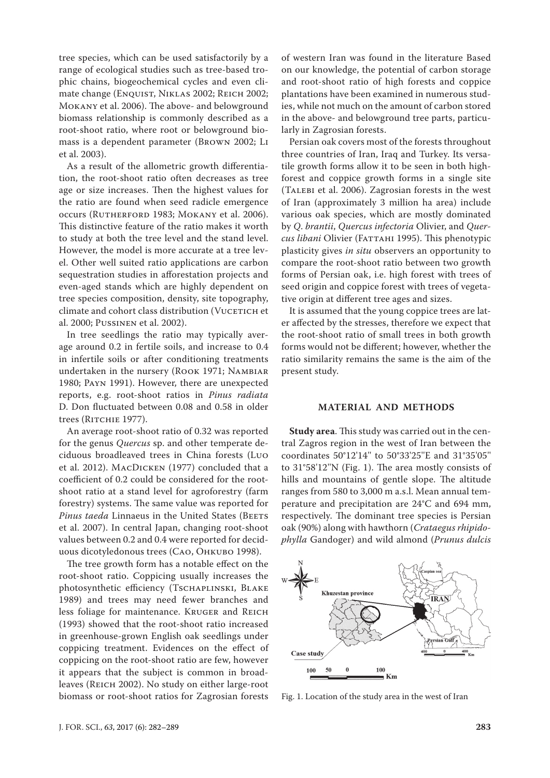tree species, which can be used satisfactorily by a range of ecological studies such as tree-based trophic chains, biogeochemical cycles and even climate change (ENQUIST, NIKLAS 2002; REICH 2002; Mokany et al. 2006). The above- and belowground biomass relationship is commonly described as a root-shoot ratio, where root or belowground biomass is a dependent parameter (Brown 2002; Li et al. 2003).

As a result of the allometric growth differentiation, the root-shoot ratio often decreases as tree age or size increases. Then the highest values for the ratio are found when seed radicle emergence occurs (RUTHERFORD 1983; MOKANY et al. 2006). This distinctive feature of the ratio makes it worth to study at both the tree level and the stand level. However, the model is more accurate at a tree level. Other well suited ratio applications are carbon sequestration studies in afforestation projects and even-aged stands which are highly dependent on tree species composition, density, site topography, climate and cohort class distribution (VUCETICH et al. 2000; Pussinen et al. 2002).

In tree seedlings the ratio may typically average around 0.2 in fertile soils, and increase to 0.4 in infertile soils or after conditioning treatments undertaken in the nursery (Rook 1971; Nambiar 1980; Payn 1991). However, there are unexpected reports, e.g. root-shoot ratios in *Pinus radiata* D. Don fluctuated between 0.08 and 0.58 in older trees (RITCHIE 1977).

An average root-shoot ratio of 0.32 was reported for the genus *Quercus* sp. and other temperate deciduous broadleaved trees in China forests (Luo et al. 2012). MacDicken (1977) concluded that a coefficient of 0.2 could be considered for the rootshoot ratio at a stand level for agroforestry (farm forestry) systems. The same value was reported for *Pinus taeda* Linnaeus in the United States (BEETS et al. 2007). In central Japan, changing root-shoot values between 0.2 and 0.4 were reported for deciduous dicotyledonous trees (Cao, Ohkubo 1998).

The tree growth form has a notable effect on the root-shoot ratio. Coppicing usually increases the photosynthetic efficiency (Tschaplinski, Blake 1989) and trees may need fewer branches and less foliage for maintenance. Kruger and Reich (1993) showed that the root-shoot ratio increased in greenhouse-grown English oak seedlings under coppicing treatment. Evidences on the effect of coppicing on the root-shoot ratio are few, however it appears that the subject is common in broadleaves (Reich 2002). No study on either large-root biomass or root-shoot ratios for Zagrosian forests

of western Iran was found in the literature Based on our knowledge, the potential of carbon storage and root-shoot ratio of high forests and coppice plantations have been examined in numerous studies, while not much on the amount of carbon stored in the above- and belowground tree parts, particularly in Zagrosian forests.

Persian oak covers most of the forests throughout three countries of Iran, Iraq and Turkey. Its versatile growth forms allow it to be seen in both highforest and coppice growth forms in a single site (Talebi et al. 2006). Zagrosian forests in the west of Iran (approximately 3 million ha area) include various oak species, which are mostly dominated by *Q*. *brantii*, *Quercus infectoria* Olivier, and *Quercus libani* Olivier (*FATTAHI* 1995). This phenotypic plasticity gives *in situ* observers an opportunity to compare the root-shoot ratio between two growth forms of Persian oak, i.e. high forest with trees of seed origin and coppice forest with trees of vegetative origin at different tree ages and sizes.

It is assumed that the young coppice trees are later affected by the stresses, therefore we expect that the root-shoot ratio of small trees in both growth forms would not be different; however, whether the ratio similarity remains the same is the aim of the present study.

# **MATERIAL AND METHODS**

**Study area**. This study was carried out in the central Zagros region in the west of Iran between the coordinates 50°12'14'' to 50°33'25''E and 31°35'05'' to 31°58'12''N (Fig. 1). The area mostly consists of hills and mountains of gentle slope. The altitude ranges from 580 to 3,000 m a.s.l. Mean annual temperature and precipitation are 24°C and 694 mm, respectively. The dominant tree species is Persian oak (90%) along with hawthorn (*Crataegus rhipidophylla* Gandoger) and wild almond (*Prunus dulcis* 



Fig. 1. Location of the study area in the west of Iran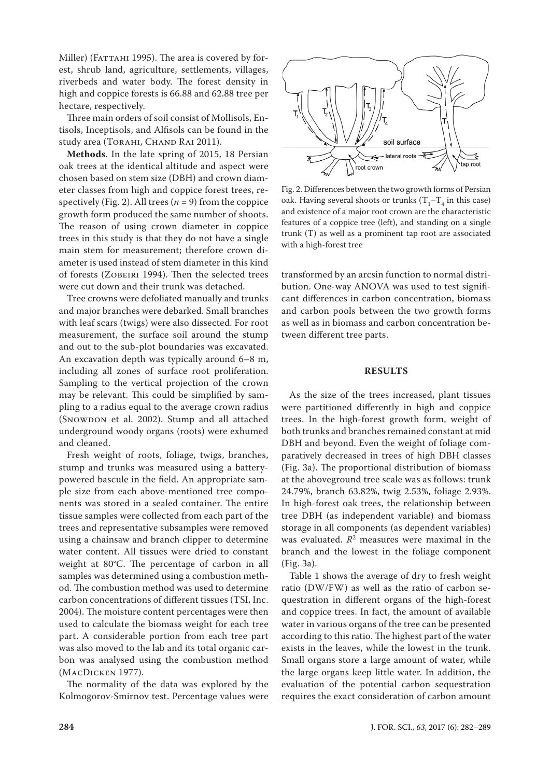Miller) (FАТТАНІ 1995). The area is covered by forest, shrub land, agriculture, settlements, villages, riverbeds and water body. The forest density in high and coppice forests is 66.88 and 62.88 tree per hectare, respectively.

Three main orders of soil consist of Mollisols, Entisols, Inceptisols, and Alfisols can be found in the study area (TORAHI, CHAND RAI 2011).

**Methods**. In the late spring of 2015, 18 Persian oak trees at the identical altitude and aspect were chosen based on stem size (DBH) and crown diameter classes from high and coppice forest trees, respectively (Fig. 2). All trees  $(n = 9)$  from the coppice growth form produced the same number of shoots. The reason of using crown diameter in coppice trees in this study is that they do not have a single main stem for measurement; therefore crown diameter is used instead of stem diameter in this kind of forests (Zobeiri 1994). Then the selected trees were cut down and their trunk was detached.

Tree crowns were defoliated manually and trunks and major branches were debarked. Small branches with leaf scars (twigs) were also dissected. For root measurement, the surface soil around the stump and out to the sub-plot boundaries was excavated. An excavation depth was typically around 6–8 m, including all zones of surface root proliferation. Sampling to the vertical projection of the crown may be relevant. This could be simplified by sampling to a radius equal to the average crown radius (SNOWDON et al. 2002). Stump and all attached underground woody organs (roots) were exhumed and cleaned.

Fresh weight of roots, foliage, twigs, branches, stump and trunks was measured using a batterypowered bascule in the field. An appropriate sample size from each above-mentioned tree components was stored in a sealed container. The entire tissue samples were collected from each part of the trees and representative subsamples were removed using a chainsaw and branch clipper to determine water content. All tissues were dried to constant weight at 80°C. The percentage of carbon in all samples was determined using a combustion method. The combustion method was used to determine carbon concentrations of different tissues (TSI, Inc. 2004). The moisture content percentages were then used to calculate the biomass weight for each tree part. A considerable portion from each tree part was also moved to the lab and its total organic carbon was analysed using the combustion method (MacDicken 1977).

The normality of the data was explored by the Kolmogorov-Smirnov test. Percentage values were



Fig. 2. Differences between the two growth forms of Persian oak. Having several shoots or trunks  $(T_1 - T_4)$  in this case) and existence of a major root crown are the characteristic features of a coppice tree (left), and standing on a single trunk (T) as well as a prominent tap root are associated with a high-forest tree

transformed by an arcsin function to normal distribution. One-way ANOVA was used to test significant differences in carbon concentration, biomass and carbon pools between the two growth forms as well as in biomass and carbon concentration between different tree parts.

#### **RESULTS**

As the size of the trees increased, plant tissues were partitioned differently in high and coppice trees. In the high-forest growth form, weight of both trunks and branches remained constant at mid DBH and beyond. Even the weight of foliage comparatively decreased in trees of high DBH classes (Fig. 3a). The proportional distribution of biomass at the aboveground tree scale was as follows: trunk 24.79%, branch 63.82%, twig 2.53%, foliage 2.93%. In high-forest oak trees, the relationship between tree DBH (as independent variable) and biomass storage in all components (as dependent variables) was evaluated.  $R<sup>2</sup>$  measures were maximal in the branch and the lowest in the foliage component (Fig. 3a).

Table 1 shows the average of dry to fresh weight ratio (DW/FW) as well as the ratio of carbon sequestration in different organs of the high-forest and coppice trees. In fact, the amount of available water in various organs of the tree can be presented according to this ratio. The highest part of the water exists in the leaves, while the lowest in the trunk. Small organs store a large amount of water, while the large organs keep little water. In addition, the evaluation of the potential carbon sequestration requires the exact consideration of carbon amount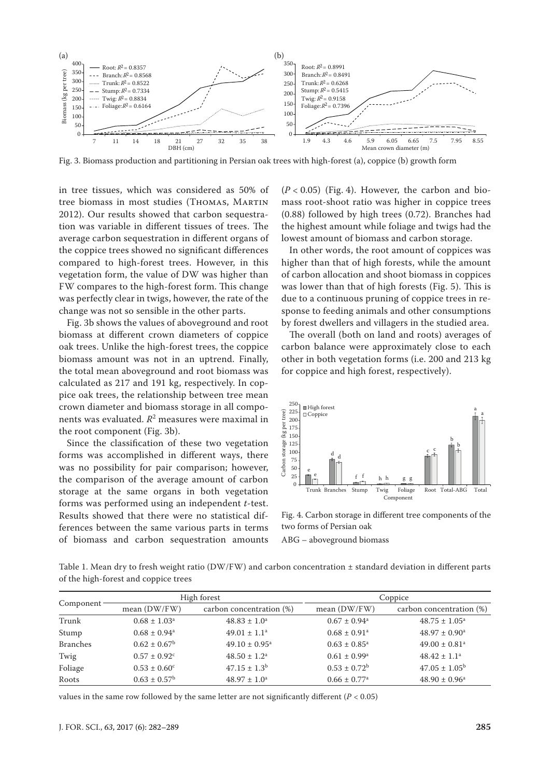

Fig. 3. Biomass production and partitioning in Persian oak trees with high-forest (a), coppice (b) growth form

in tree tissues, which was considered as 50% of tree biomass in most studies (Thomas, Martin 2012). Our results showed that carbon sequestration was variable in different tissues of trees. The average carbon sequestration in different organs of the coppice trees showed no significant differences compared to high-forest trees. However, in this vegetation form, the value of DW was higher than FW compares to the high-forest form. This change was perfectly clear in twigs, however, the rate of the change was not so sensible in the other parts.

Fig. 3b shows the values of aboveground and root biomass at different crown diameters of coppice oak trees. Unlike the high-forest trees, the coppice biomass amount was not in an uptrend. Finally, the total mean aboveground and root biomass was calculated as 217 and 191 kg, respectively. In coppice oak trees, the relationship between tree mean crown diameter and biomass storage in all components was evaluated. *R*<sup>2</sup> measures were maximal in the root component (Fig. 3b).

Since the classification of these two vegetation forms was accomplished in different ways, there was no possibility for pair comparison; however, the comparison of the average amount of carbon storage at the same organs in both vegetation forms was performed using an independent *t*-test. Results showed that there were no statistical differences between the same various parts in terms of biomass and carbon sequestration amounts

 $(P < 0.05)$  (Fig. 4). However, the carbon and biomass root-shoot ratio was higher in coppice trees (0.88) followed by high trees (0.72). Branches had the highest amount while foliage and twigs had the lowest amount of biomass and carbon storage.

In other words, the root amount of coppices was higher than that of high forests, while the amount of carbon allocation and shoot biomass in coppices was lower than that of high forests (Fig. 5). This is due to a continuous pruning of coppice trees in response to feeding animals and other consumptions by forest dwellers and villagers in the studied area.

The overall (both on land and roots) averages of carbon balance were approximately close to each other in both vegetation forms (i.e. 200 and 213 kg for coppice and high forest, respectively).



Fig. 4. Carbon storage in different tree components of the two forms of Persian oak

ABG – aboveground biomass

Table 1. Mean dry to fresh weight ratio (DW/FW) and carbon concentration  $\pm$  standard deviation in different parts of the high-forest and coppice trees

| Component       | High forest                  |                             | Coppice                      |                               |
|-----------------|------------------------------|-----------------------------|------------------------------|-------------------------------|
|                 | mean (DW/FW)                 | carbon concentration (%)    | mean $(DW/FW)$               | carbon concentration (%)      |
| Trunk           | $0.68 \pm 1.03$ <sup>a</sup> | $48.83 \pm 1.0^a$           | $0.67 \pm 0.94$ <sup>a</sup> | $48.75 \pm 1.05^{\circ}$      |
| Stump           | $0.68 \pm 0.94^a$            | $49.01 \pm 1.1^a$           | $0.68 \pm 0.91$ <sup>a</sup> | $48.97 \pm 0.90^{\text{a}}$   |
| <b>Branches</b> | $0.62 \pm 0.67^{\rm b}$      | $49.10 \pm 0.95^{\text{a}}$ | $0.63 \pm 0.85^{\circ}$      | $49.00 \pm 0.81$ <sup>a</sup> |
| Twig            | $0.57 \pm 0.92$ <sup>c</sup> | $48.50 \pm 1.2^{\text{a}}$  | $0.61 \pm 0.99^{\text{a}}$   | $48.42 \pm 1.1^a$             |
| Foliage         | $0.53 \pm 0.60^{\circ}$      | $47.15 \pm 1.3^b$           | $0.53 \pm 0.72^b$            | $47.05 \pm 1.05^{\rm b}$      |
| Roots           | $0.63 \pm 0.57^{\rm b}$      | $48.97 \pm 1.0^a$           | $0.66 \pm 0.77$ <sup>a</sup> | $48.90 \pm 0.96^{\text{a}}$   |

values in the same row followed by the same letter are not significantly different ( $P < 0.05$ )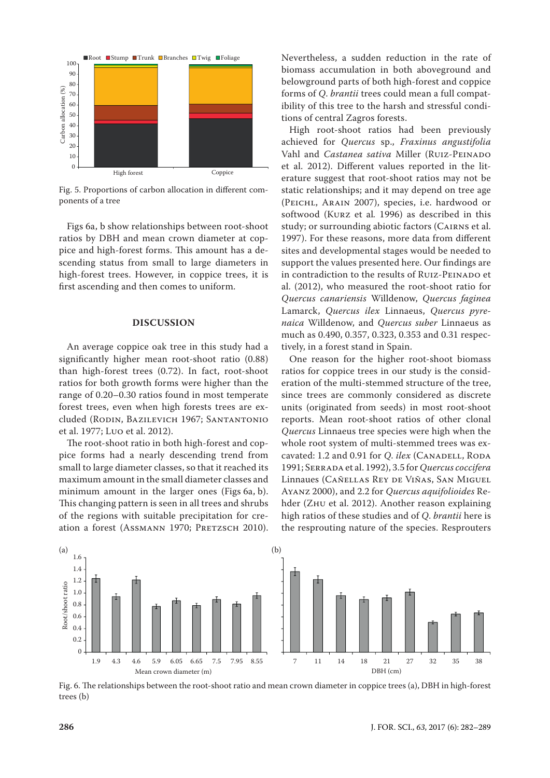

Fig. 5. Proportions of carbon allocation in different components of a tree

Figs 6a, b show relationships between root-shoot ratios by DBH and mean crown diameter at coppice and high-forest forms. This amount has a descending status from small to large diameters in high-forest trees. However, in coppice trees, it is first ascending and then comes to uniform.

## **DISCUSSION**

An average coppice oak tree in this study had a significantly higher mean root-shoot ratio (0.88) than high-forest trees (0.72). In fact, root-shoot ratios for both growth forms were higher than the range of 0.20–0.30 ratios found in most temperate forest trees, even when high forests trees are excluded (Rodin, Bazilevich 1967; Santantonio et al. 1977; Luo et al. 2012).

The root-shoot ratio in both high-forest and coppice forms had a nearly descending trend from small to large diameter classes, so that it reached its maximum amount in the small diameter classes and minimum amount in the larger ones (Figs 6a, b). This changing pattern is seen in all trees and shrubs of the regions with suitable precipitation for creation a forest (Assmann 1970; PRETZSCH 2010). Nevertheless, a sudden reduction in the rate of biomass accumulation in both aboveground and belowground parts of both high-forest and coppice forms of *Q*. *brantii* trees could mean a full compatibility of this tree to the harsh and stressful conditions of central Zagros forests.

High root-shoot ratios had been previously achieved for *Quercus* sp., *Fraxinus angustifolia*  Vahl and *Castanea sativa* Miller (RUIZ-PEINADO et al. 2012). Different values reported in the literature suggest that root-shoot ratios may not be static relationships; and it may depend on tree age (Peichl, Arain 2007), species, i.e. hardwood or softwood (Kurz et al*.* 1996) as described in this study; or surrounding abiotic factors (Cairns et al. 1997). For these reasons, more data from different sites and developmental stages would be needed to support the values presented here. Our findings are in contradiction to the results of RUIZ-PEINADO et al. (2012), who measured the root-shoot ratio for *Quercus canariensis* Willdenow, *Quercus faginea*  Lamarck, *Quercus ilex* Linnaeus, *Quercus pyrenaica* Willdenow, and *Quercus suber* Linnaeus as much as 0.490, 0.357, 0.323, 0.353 and 0.31 respectively, in a forest stand in Spain.

One reason for the higher root-shoot biomass ratios for coppice trees in our study is the consideration of the multi-stemmed structure of the tree, since trees are commonly considered as discrete units (originated from seeds) in most root-shoot reports. Mean root-shoot ratios of other clonal *Quercus* Linnaeus tree species were high when the whole root system of multi-stemmed trees was excavated: 1.2 and 0.91 for *Q. ilex* (CANADELL, RODA 1991; Serrada et al. 1992), 3.5 for *Quercus coccifera* Linnaues (Cañellas Rey de Viñas, San Miguel Ayanz 2000), and 2.2 for *Quercus aquifolioides* Rehder (Zhu et al. 2012). Another reason explaining high ratios of these studies and of *Q*. *brantii* here is the resprouting nature of the species. Resprouters



Fig. 6. The relationships between the root-shoot ratio and mean crown diameter in coppice trees (a), DBH in high-forest trees (b)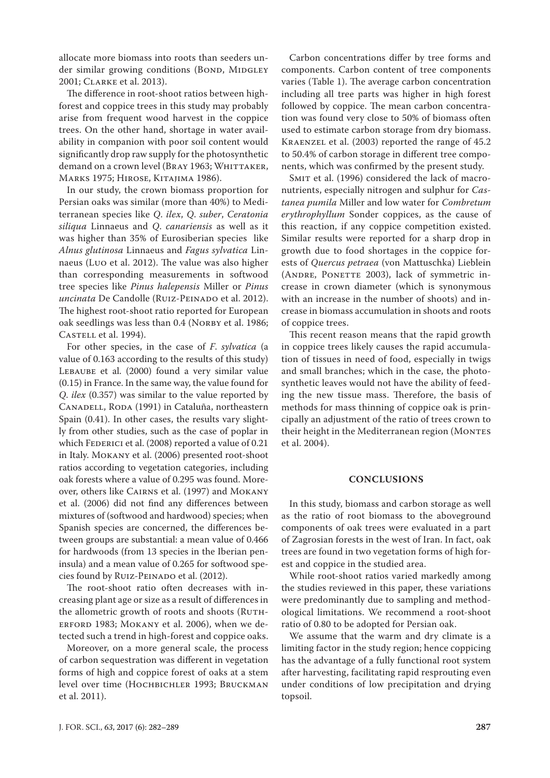allocate more biomass into roots than seeders under similar growing conditions (BOND, MIDGLEY 2001; Clarke et al. 2013).

The difference in root-shoot ratios between highforest and coppice trees in this study may probably arise from frequent wood harvest in the coppice trees. On the other hand, shortage in water availability in companion with poor soil content would significantly drop raw supply for the photosynthetic demand on a crown level (BRAY 1963; WHITTAKER, Marks 1975; Hirose, Kitajima 1986).

In our study, the crown biomass proportion for Persian oaks was similar (more than 40%) to Mediterranean species like *Q*. *ilex*, *Q*. *suber*, *Ceratonia siliqua* Linnaeus and *Q*. *canariensis* as well as it was higher than 35% of Eurosiberian species like *Alnus glutinosa* Linnaeus and *Fagus sylvatica* Linnaeus (Luo et al. 2012). The value was also higher than corresponding measurements in softwood tree species like *Pinus halepensis* Miller or *Pinus uncinata* De Candolle (RUIZ-PEINADO et al. 2012). The highest root-shoot ratio reported for European oak seedlings was less than 0.4 (NORBY et al. 1986; CASTELL et al. 1994).

For other species, in the case of *F*. *sylvatica* (a value of 0.163 according to the results of this study) LEBAUBE et al. (2000) found a very similar value (0.15) in France. In the same way, the value found for *Q*. *ilex* (0.357) was similar to the value reported by CANADELL, RODA (1991) in Cataluña, northeastern Spain (0.41). In other cases, the results vary slightly from other studies, such as the case of poplar in which FEDERICI et al. (2008) reported a value of 0.21 in Italy. Mokany et al. (2006) presented root-shoot ratios according to vegetation categories, including oak forests where a value of 0.295 was found. Moreover, others like Cairns et al. (1997) and Mokany et al. (2006) did not find any differences between mixtures of (softwood and hardwood) species; when Spanish species are concerned, the differences between groups are substantial: a mean value of 0.466 for hardwoods (from 13 species in the Iberian peninsula) and a mean value of 0.265 for softwood species found by RUIZ-PEINADO et al. (2012).

The root-shoot ratio often decreases with increasing plant age or size as a result of differences in the allometric growth of roots and shoots (RUTHerford 1983; Mokany et al. 2006), when we detected such a trend in high-forest and coppice oaks.

Moreover, on a more general scale, the process of carbon sequestration was different in vegetation forms of high and coppice forest of oaks at a stem level over time (Hochbichler 1993; Bruckman et al. 2011).

Carbon concentrations differ by tree forms and components. Carbon content of tree components varies (Table 1). The average carbon concentration including all tree parts was higher in high forest followed by coppice. The mean carbon concentration was found very close to 50% of biomass often used to estimate carbon storage from dry biomass. Kraenzel et al. (2003) reported the range of 45.2 to 50.4% of carbon storage in different tree components, which was confirmed by the present study.

SMIT et al. (1996) considered the lack of macronutrients, especially nitrogen and sulphur for *Castanea pumila* Miller and low water for *Combretum erythrophyllum* Sonder coppices, as the cause of this reaction, if any coppice competition existed. Similar results were reported for a sharp drop in growth due to food shortages in the coppice forests of *Quercus petraea* (von Mattuschka) Lieblein (ANDRE, PONETTE 2003), lack of symmetric increase in crown diameter (which is synonymous with an increase in the number of shoots) and increase in biomass accumulation in shoots and roots of coppice trees.

This recent reason means that the rapid growth in coppice trees likely causes the rapid accumulation of tissues in need of food, especially in twigs and small branches; which in the case, the photosynthetic leaves would not have the ability of feeding the new tissue mass. Therefore, the basis of methods for mass thinning of coppice oak is principally an adjustment of the ratio of trees crown to their height in the Mediterranean region (MONTES et al. 2004).

## **CONCLUSIONS**

In this study, biomass and carbon storage as well as the ratio of root biomass to the aboveground components of oak trees were evaluated in a part of Zagrosian forests in the west of Iran. In fact, oak trees are found in two vegetation forms of high forest and coppice in the studied area.

While root-shoot ratios varied markedly among the studies reviewed in this paper, these variations were predominantly due to sampling and methodological limitations. We recommend a root-shoot ratio of 0.80 to be adopted for Persian oak.

We assume that the warm and dry climate is a limiting factor in the study region; hence coppicing has the advantage of a fully functional root system after harvesting, facilitating rapid resprouting even under conditions of low precipitation and drying topsoil.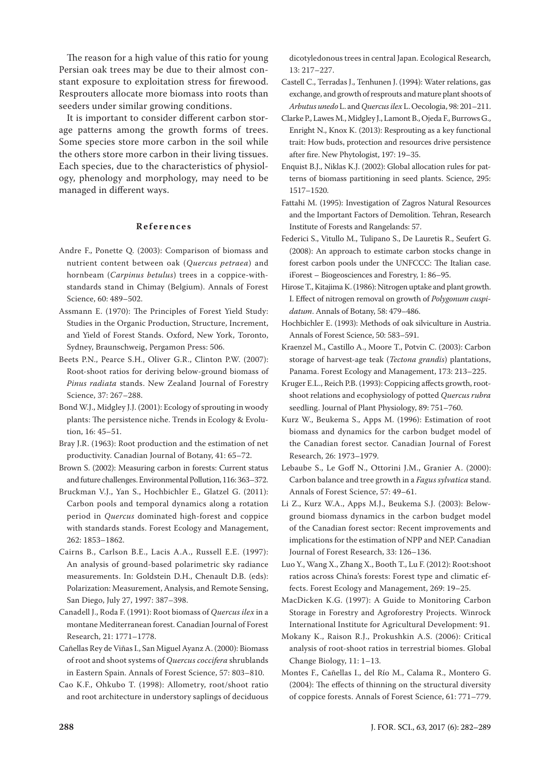The reason for a high value of this ratio for young Persian oak trees may be due to their almost constant exposure to exploitation stress for firewood. Resprouters allocate more biomass into roots than seeders under similar growing conditions.

It is important to consider different carbon storage patterns among the growth forms of trees. Some species store more carbon in the soil while the others store more carbon in their living tissues. Each species, due to the characteristics of physiology, phenology and morphology, may need to be managed in different ways.

## **References**

- Andre F., Ponette Q. (2003): Comparison of biomass and nutrient content between oak (*Quercus petraea*) and hornbeam (*Carpinus betulus*) trees in a coppice-withstandards stand in Chimay (Belgium). Annals of Forest Science, 60: 489–502.
- Assmann E. (1970): The Principles of Forest Yield Study: Studies in the Organic Production, Structure, Increment, and Yield of Forest Stands. Oxford, New York, Toronto, Sydney, Braunschweig, Pergamon Press: 506.
- Beets P.N., Pearce S.H., Oliver G.R., Clinton P.W. (2007): Root-shoot ratios for deriving below-ground biomass of *Pinus radiata* stands. New Zealand Journal of Forestry Science, 37: 267–288.
- Bond W.J., Midgley J.J. (2001): Ecology of sprouting in woody plants: The persistence niche. Trends in Ecology & Evolution, 16: 45–51.
- Bray J.R. (1963): Root production and the estimation of net productivity. Canadian Journal of Botany, 41: 65–72.
- Brown S. (2002): Measuring carbon in forests: Current status and future challenges. Environmental Pollution, 116: 363–372.
- Bruckman V.J., Yan S., Hochbichler E., Glatzel G. (2011): Carbon pools and temporal dynamics along a rotation period in *Quercus* dominated high-forest and coppice with standards stands. Forest Ecology and Management, 262: 1853–1862.
- Cairns B., Carlson B.E., Lacis A.A., Russell E.E. (1997): An analysis of ground-based polarimetric sky radiance measurements. In: Goldstein D.H., Chenault D.B. (eds): Polarization: Measurement, Analysis, and Remote Sensing, San Diego, July 27, 1997: 387–398.
- Canadell J., Roda F. (1991): Root biomass of *Quercus ilex* in a montane Mediterranean forest. Canadian Journal of Forest Research, 21: 1771–1778.
- Cañellas Rey de Viñas I., San Miguel Ayanz A. (2000): Biomass of root and shoot systems of *Quercus coccifera* shrublands in Eastern Spain. Annals of Forest Science, 57: 803–810.
- Cao K.F., Ohkubo T. (1998): Allometry, root/shoot ratio and root architecture in understory saplings of deciduous

dicotyledonous trees in central Japan. Ecological Research, 13: 217–227.

- Castell C., Terradas J., Tenhunen J. (1994): Water relations, gas exchange, and growth of resprouts and mature plant shoots of *Arbutus unedo* L. and *Quercus ilex* L. Oecologia, 98: 201–211.
- Clarke P., Lawes M., Midgley J., Lamont B., Ojeda F., Burrows G., Enright N., Knox K. (2013): Resprouting as a key functional trait: How buds, protection and resources drive persistence after fire. New Phytologist, 197: 19–35.
- Enquist B.J., Niklas K.J. (2002): Global allocation rules for patterns of biomass partitioning in seed plants. Science, 295: 1517–1520.
- Fattahi M. (1995): Investigation of Zagros Natural Resources and the Important Factors of Demolition. Tehran, Research Institute of Forests and Rangelands: 57.
- Federici S., Vitullo M., Tulipano S., De Lauretis R., Seufert G. (2008): An approach to estimate carbon stocks change in forest carbon pools under the UNFCCC: The Italian case. iForest – Biogeosciences and Forestry, 1: 86–95.
- Hirose T., Kitajima K. (1986): Nitrogen uptake and plant growth. I. Effect of nitrogen removal on growth of *Polygonum cuspidatum*. Annals of Botany, 58: 479–486.
- Hochbichler E. (1993): Methods of oak silviculture in Austria. Annals of Forest Science, 50: 583–591.
- Kraenzel M., Castillo A., Moore T., Potvin C. (2003): Carbon storage of harvest-age teak (*Tectona grandis*) plantations, Panama. Forest Ecology and Management, 173: 213–225.
- Kruger E.L., Reich P.B. (1993): Coppicing affects growth, rootshoot relations and ecophysiology of potted *Quercus rubra* seedling. Journal of Plant Physiology, 89: 751–760.
- Kurz W., Beukema S., Apps M. (1996): Estimation of root biomass and dynamics for the carbon budget model of the Canadian forest sector. Canadian Journal of Forest Research, 26: 1973–1979.
- Lebaube S., Le Goff N., Ottorini J.M., Granier A. (2000): Carbon balance and tree growth in a *Fagus sylvatica* stand. Annals of Forest Science, 57: 49–61.
- Li Z., Kurz W.A., Apps M.J., Beukema S.J. (2003): Belowground biomass dynamics in the carbon budget model of the Canadian forest sector: Recent improvements and implications for the estimation of NPP and NEP. Canadian Journal of Forest Research, 33: 126–136.
- Luo Y., Wang X., Zhang X., Booth T., Lu F. (2012): Root:shoot ratios across China's forests: Forest type and climatic effects. Forest Ecology and Management, 269: 19–25.
- MacDicken K.G. (1997): A Guide to Monitoring Carbon Storage in Forestry and Agroforestry Projects. Winrock International Institute for Agricultural Development: 91.
- Mokany K., Raison R.J., Prokushkin A.S. (2006): Critical analysis of root-shoot ratios in terrestrial biomes. Global Change Biology, 11: 1–13.
- Montes F., Cañellas I., del Río M., Calama R., Montero G. (2004): The effects of thinning on the structural diversity of coppice forests. Annals of Forest Science, 61: 771–779.